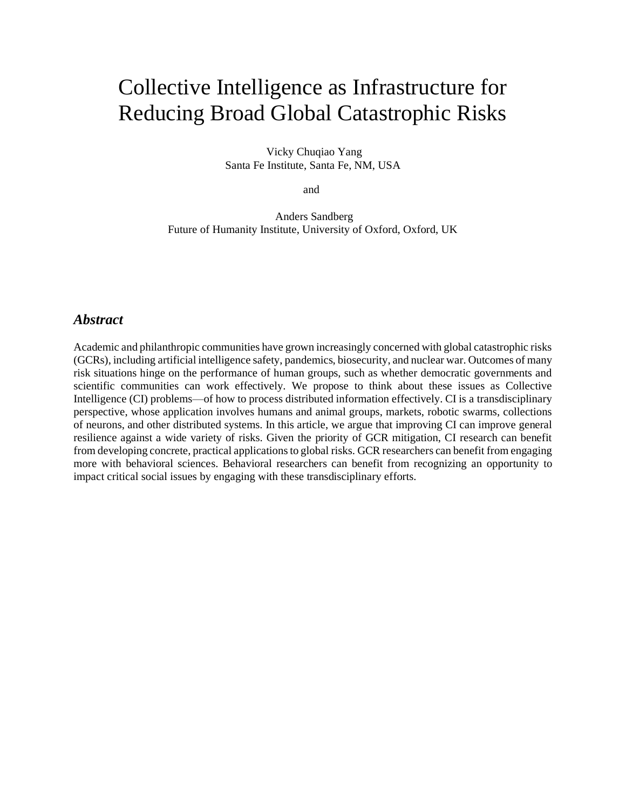# Collective Intelligence as Infrastructure for Reducing Broad Global Catastrophic Risks

Vicky Chuqiao Yang Santa Fe Institute, Santa Fe, NM, USA

and

Anders Sandberg Future of Humanity Institute, University of Oxford, Oxford, UK

#### *Abstract*

Academic and philanthropic communities have grown increasingly concerned with global catastrophic risks (GCRs), including artificial intelligence safety, pandemics, biosecurity, and nuclear war. Outcomes of many risk situations hinge on the performance of human groups, such as whether democratic governments and scientific communities can work effectively. We propose to think about these issues as Collective Intelligence (CI) problems—of how to process distributed information effectively. CI is a transdisciplinary perspective, whose application involves humans and animal groups, markets, robotic swarms, collections of neurons, and other distributed systems. In this article, we argue that improving CI can improve general resilience against a wide variety of risks. Given the priority of GCR mitigation, CI research can benefit from developing concrete, practical applications to global risks. GCR researchers can benefit from engaging more with behavioral sciences. Behavioral researchers can benefit from recognizing an opportunity to impact critical social issues by engaging with these transdisciplinary efforts.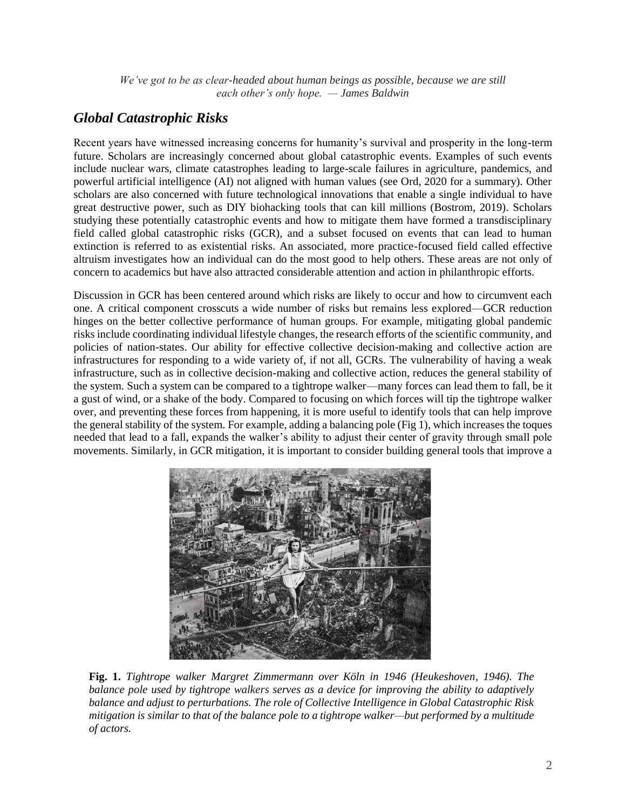*We've got to be as clear-headed about human beings as possible, because we are still each other's only hope. — James Baldwin*

## *Global Catastrophic Risks*

Recent years have witnessed increasing concerns for humanity's survival and prosperity in the long-term future. Scholars are increasingly concerned about global catastrophic events. Examples of such events include nuclear wars, climate catastrophes leading to large-scale failures in agriculture, pandemics, and powerful artificial intelligence (AI) not aligned with human values (see Ord, 2020 for a summary). Other scholars are also concerned with future technological innovations that enable a single individual to have great destructive power, such as DIY biohacking tools that can kill millions (Bostrom, 2019). Scholars studying these potentially catastrophic events and how to mitigate them have formed a transdisciplinary field called global catastrophic risks (GCR), and a subset focused on events that can lead to human extinction is referred to as existential risks. An associated, more practice-focused field called effective altruism investigates how an individual can do the most good to help others. These areas are not only of concern to academics but have also attracted considerable attention and action in philanthropic efforts.

Discussion in GCR has been centered around which risks are likely to occur and how to circumvent each one. A critical component crosscuts a wide number of risks but remains less explored—GCR reduction hinges on the better collective performance of human groups. For example, mitigating global pandemic risks include coordinating individual lifestyle changes, the research efforts of the scientific community, and policies of nation-states. Our ability for effective collective decision-making and collective action are infrastructures for responding to a wide variety of, if not all, GCRs. The vulnerability of having a weak infrastructure, such as in collective decision-making and collective action, reduces the general stability of the system. Such a system can be compared to a tightrope walker—many forces can lead them to fall, be it a gust of wind, or a shake of the body. Compared to focusing on which forces will tip the tightrope walker over, and preventing these forces from happening, it is more useful to identify tools that can help improve the general stability of the system. For example, adding a balancing pole (Fig 1), which increases the toques needed that lead to a fall, expands the walker's ability to adjust their center of gravity through small pole movements. Similarly, in GCR mitigation, it is important to consider building general tools that improve a



**Fig. 1.** *Tightrope walker Margret Zimmermann over Köln in 1946 (Heukeshoven, 1946). The balance pole used by tightrope walkers serves as a device for improving the ability to adaptively balance and adjust to perturbations. The role of Collective Intelligence in Global Catastrophic Risk mitigation is similar to that of the balance pole to a tightrope walker—but performed by a multitude of actors.*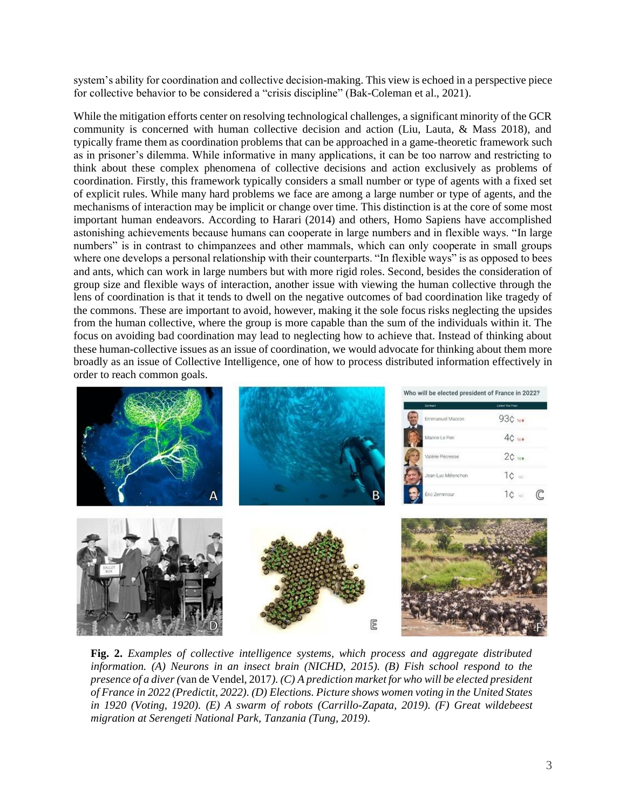system's ability for coordination and collective decision-making. This view is echoed in a perspective piece for collective behavior to be considered a "crisis discipline" (Bak-Coleman et al., 2021).

While the mitigation efforts center on resolving technological challenges, a significant minority of the GCR community is concerned with human collective decision and action (Liu, Lauta, & Mass 2018), and typically frame them as coordination problems that can be approached in a game-theoretic framework such as in prisoner's dilemma. While informative in many applications, it can be too narrow and restricting to think about these complex phenomena of collective decisions and action exclusively as problems of coordination. Firstly, this framework typically considers a small number or type of agents with a fixed set of explicit rules. While many hard problems we face are among a large number or type of agents, and the mechanisms of interaction may be implicit or change over time. This distinction is at the core of some most important human endeavors. According to Harari (2014) and others, Homo Sapiens have accomplished astonishing achievements because humans can cooperate in large numbers and in flexible ways. "In large numbers" is in contrast to chimpanzees and other mammals, which can only cooperate in small groups where one develops a personal relationship with their counterparts. "In flexible ways" is as opposed to bees and ants, which can work in large numbers but with more rigid roles. Second, besides the consideration of group size and flexible ways of interaction, another issue with viewing the human collective through the lens of coordination is that it tends to dwell on the negative outcomes of bad coordination like tragedy of the commons. These are important to avoid, however, making it the sole focus risks neglecting the upsides from the human collective, where the group is more capable than the sum of the individuals within it. The focus on avoiding bad coordination may lead to neglecting how to achieve that. Instead of thinking about these human-collective issues as an issue of coordination, we would advocate for thinking about them more broadly as an issue of Collective Intelligence, one of how to process distributed information effectively in order to reach common goals.



**Fig. 2.** *Examples of collective intelligence systems, which process and aggregate distributed information. (A) Neurons in an insect brain (NICHD, 2015). (B) Fish school respond to the presence of a diver (*van de Vendel, 2017*). (C) A prediction market for who will be elected president of France in 2022 (Predictit, 2022). (D) Elections. Picture shows women voting in the United States in 1920 (Voting, 1920). (E) A swarm of robots (Carrillo-Zapata, 2019). (F) Great wildebeest migration at Serengeti National Park, Tanzania (Tung, 2019).*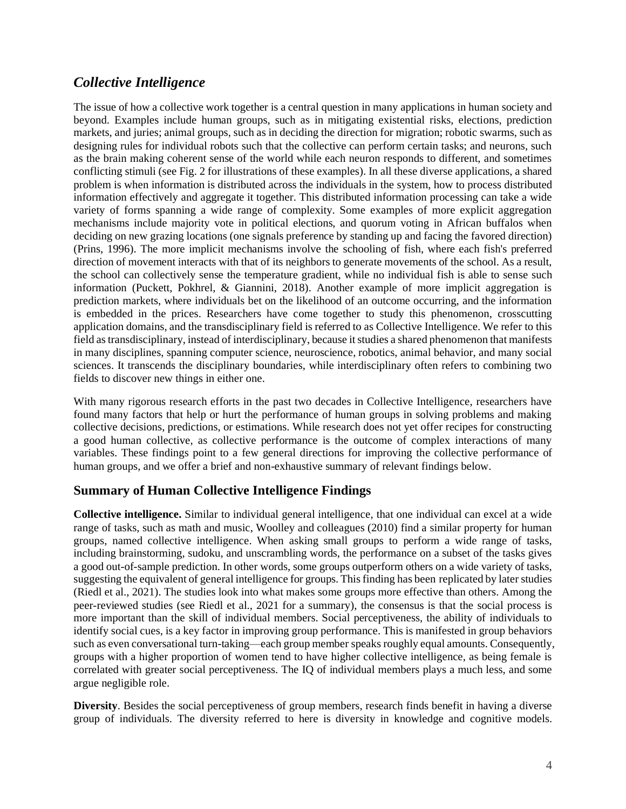# *Collective Intelligence*

The issue of how a collective work together is a central question in many applications in human society and beyond. Examples include human groups, such as in mitigating existential risks, elections, prediction markets, and juries; animal groups, such as in deciding the direction for migration; robotic swarms, such as designing rules for individual robots such that the collective can perform certain tasks; and neurons, such as the brain making coherent sense of the world while each neuron responds to different, and sometimes conflicting stimuli (see Fig. 2 for illustrations of these examples). In all these diverse applications, a shared problem is when information is distributed across the individuals in the system, how to process distributed information effectively and aggregate it together. This distributed information processing can take a wide variety of forms spanning a wide range of complexity. Some examples of more explicit aggregation mechanisms include majority vote in political elections, and quorum voting in African buffalos when deciding on new grazing locations (one signals preference by standing up and facing the favored direction) (Prins, 1996). The more implicit mechanisms involve the schooling of fish, where each fish's preferred direction of movement interacts with that of its neighbors to generate movements of the school. As a result, the school can collectively sense the temperature gradient, while no individual fish is able to sense such information (Puckett, Pokhrel, & Giannini, 2018). Another example of more implicit aggregation is prediction markets, where individuals bet on the likelihood of an outcome occurring, and the information is embedded in the prices. Researchers have come together to study this phenomenon, crosscutting application domains, and the transdisciplinary field is referred to as Collective Intelligence. We refer to this field as transdisciplinary, instead of interdisciplinary, because it studies a shared phenomenon that manifests in many disciplines, spanning computer science, neuroscience, robotics, animal behavior, and many social sciences. It transcends the disciplinary boundaries, while interdisciplinary often refers to combining two fields to discover new things in either one.

With many rigorous research efforts in the past two decades in Collective Intelligence, researchers have found many factors that help or hurt the performance of human groups in solving problems and making collective decisions, predictions, or estimations. While research does not yet offer recipes for constructing a good human collective, as collective performance is the outcome of complex interactions of many variables. These findings point to a few general directions for improving the collective performance of human groups, and we offer a brief and non-exhaustive summary of relevant findings below.

#### **Summary of Human Collective Intelligence Findings**

**Collective intelligence.** Similar to individual general intelligence, that one individual can excel at a wide range of tasks, such as math and music, Woolley and colleagues (2010) find a similar property for human groups, named collective intelligence. When asking small groups to perform a wide range of tasks, including brainstorming, sudoku, and unscrambling words, the performance on a subset of the tasks gives a good out-of-sample prediction. In other words, some groups outperform others on a wide variety of tasks, suggesting the equivalent of general intelligence for groups. This finding has been replicated by later studies (Riedl et al., 2021). The studies look into what makes some groups more effective than others. Among the peer-reviewed studies (see Riedl et al., 2021 for a summary), the consensus is that the social process is more important than the skill of individual members. Social perceptiveness, the ability of individuals to identify social cues, is a key factor in improving group performance. This is manifested in group behaviors such as even conversational turn-taking—each group member speaks roughly equal amounts. Consequently, groups with a higher proportion of women tend to have higher collective intelligence, as being female is correlated with greater social perceptiveness. The IQ of individual members plays a much less, and some argue negligible role.

**Diversity**. Besides the social perceptiveness of group members, research finds benefit in having a diverse group of individuals. The diversity referred to here is diversity in knowledge and cognitive models.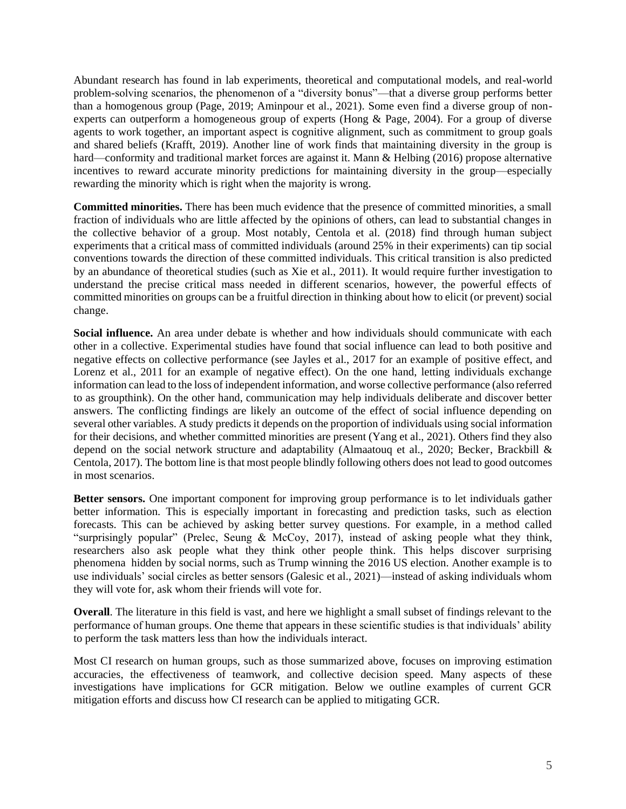Abundant research has found in lab experiments, theoretical and computational models, and real-world problem-solving scenarios, the phenomenon of a "diversity bonus"—that a diverse group performs better than a homogenous group (Page, 2019; Aminpour et al., 2021). Some even find a diverse group of nonexperts can outperform a homogeneous group of experts (Hong & Page, 2004). For a group of diverse agents to work together, an important aspect is cognitive alignment, such as commitment to group goals and shared beliefs (Krafft, 2019). Another line of work finds that maintaining diversity in the group is hard—conformity and traditional market forces are against it. Mann & Helbing (2016) propose alternative incentives to reward accurate minority predictions for maintaining diversity in the group—especially rewarding the minority which is right when the majority is wrong.

**Committed minorities.** There has been much evidence that the presence of committed minorities, a small fraction of individuals who are little affected by the opinions of others, can lead to substantial changes in the collective behavior of a group. Most notably, Centola et al. (2018) find through human subject experiments that a critical mass of committed individuals (around 25% in their experiments) can tip social conventions towards the direction of these committed individuals. This critical transition is also predicted by an abundance of theoretical studies (such as Xie et al., 2011). It would require further investigation to understand the precise critical mass needed in different scenarios, however, the powerful effects of committed minorities on groups can be a fruitful direction in thinking about how to elicit (or prevent) social change.

**Social influence.** An area under debate is whether and how individuals should communicate with each other in a collective. Experimental studies have found that social influence can lead to both positive and negative effects on collective performance (see Jayles et al., 2017 for an example of positive effect, and Lorenz et al., 2011 for an example of negative effect). On the one hand, letting individuals exchange information can lead to the loss of independent information, and worse collective performance (also referred to as groupthink). On the other hand, communication may help individuals deliberate and discover better answers. The conflicting findings are likely an outcome of the effect of social influence depending on several other variables. A study predicts it depends on the proportion of individuals using social information for their decisions, and whether committed minorities are present (Yang et al., 2021). Others find they also depend on the social network structure and adaptability (Almaatouq et al., 2020; Becker, Brackbill & Centola, 2017). The bottom line is that most people blindly following others does not lead to good outcomes in most scenarios.

**Better sensors.** One important component for improving group performance is to let individuals gather better information. This is especially important in forecasting and prediction tasks, such as election forecasts. This can be achieved by asking better survey questions. For example, in a method called "surprisingly popular" (Prelec, Seung & McCoy, 2017), instead of asking people what they think, researchers also ask people what they think other people think. This helps discover surprising phenomena hidden by social norms, such as Trump winning the 2016 US election. Another example is to use individuals' social circles as better sensors (Galesic et al., 2021)—instead of asking individuals whom they will vote for, ask whom their friends will vote for.

**Overall**. The literature in this field is vast, and here we highlight a small subset of findings relevant to the performance of human groups. One theme that appears in these scientific studies is that individuals' ability to perform the task matters less than how the individuals interact.

Most CI research on human groups, such as those summarized above, focuses on improving estimation accuracies, the effectiveness of teamwork, and collective decision speed. Many aspects of these investigations have implications for GCR mitigation. Below we outline examples of current GCR mitigation efforts and discuss how CI research can be applied to mitigating GCR.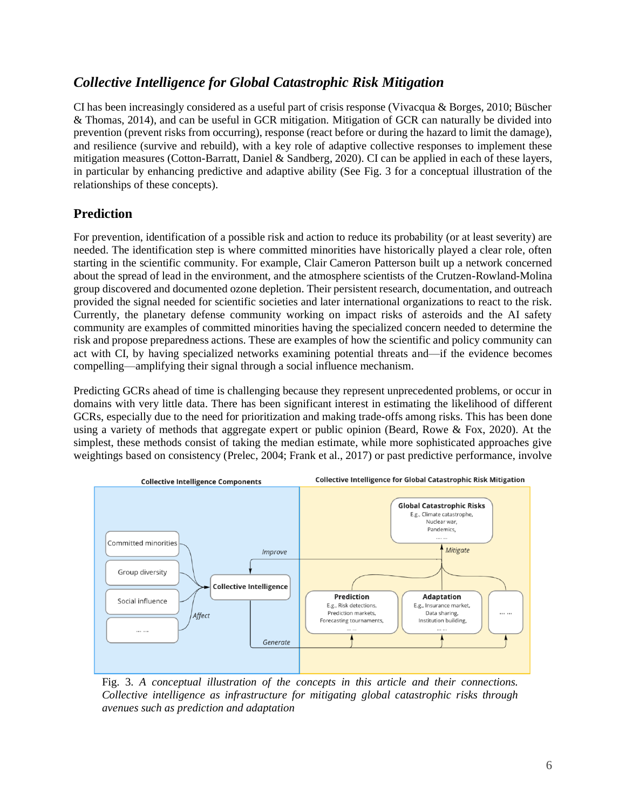# *Collective Intelligence for Global Catastrophic Risk Mitigation*

CI has been increasingly considered as a useful part of crisis response (Vivacqua & Borges, 2010; Büscher & Thomas, 2014), and can be useful in GCR mitigation. Mitigation of GCR can naturally be divided into prevention (prevent risks from occurring), response (react before or during the hazard to limit the damage), and resilience (survive and rebuild), with a key role of adaptive collective responses to implement these mitigation measures (Cotton-Barratt, Daniel & Sandberg, 2020). CI can be applied in each of these layers, in particular by enhancing predictive and adaptive ability (See Fig. 3 for a conceptual illustration of the relationships of these concepts).

## **Prediction**

For prevention, identification of a possible risk and action to reduce its probability (or at least severity) are needed. The identification step is where committed minorities have historically played a clear role, often starting in the scientific community. For example, Clair Cameron Patterson built up a network concerned about the spread of lead in the environment, and the atmosphere scientists of the Crutzen-Rowland-Molina group discovered and documented ozone depletion. Their persistent research, documentation, and outreach provided the signal needed for scientific societies and later international organizations to react to the risk. Currently, the planetary defense community working on impact risks of asteroids and the AI safety community are examples of committed minorities having the specialized concern needed to determine the risk and propose preparedness actions. These are examples of how the scientific and policy community can act with CI, by having specialized networks examining potential threats and—if the evidence becomes compelling—amplifying their signal through a social influence mechanism.

Predicting GCRs ahead of time is challenging because they represent unprecedented problems, or occur in domains with very little data. There has been significant interest in estimating the likelihood of different GCRs, especially due to the need for prioritization and making trade-offs among risks. This has been done using a variety of methods that aggregate expert or public opinion (Beard, Rowe & Fox, 2020). At the simplest, these methods consist of taking the median estimate, while more sophisticated approaches give weightings based on consistency (Prelec, 2004; Frank et al., 2017) or past predictive performance, involve



Fig. 3. *A conceptual illustration of the concepts in this article and their connections. Collective intelligence as infrastructure for mitigating global catastrophic risks through avenues such as prediction and adaptation*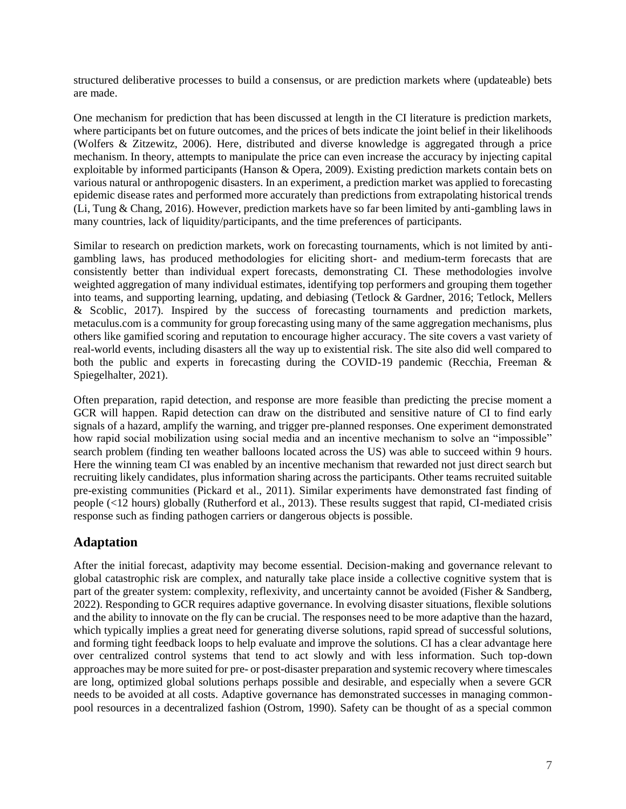structured deliberative processes to build a consensus, or are prediction markets where (updateable) bets are made.

One mechanism for prediction that has been discussed at length in the CI literature is prediction markets, where participants bet on future outcomes, and the prices of bets indicate the joint belief in their likelihoods (Wolfers & Zitzewitz, 2006). Here, distributed and diverse knowledge is aggregated through a price mechanism. In theory, attempts to manipulate the price can even increase the accuracy by injecting capital exploitable by informed participants (Hanson & Opera, 2009). Existing prediction markets contain bets on various natural or anthropogenic disasters. In an experiment, a prediction market was applied to forecasting epidemic disease rates and performed more accurately than predictions from extrapolating historical trends (Li, Tung & Chang, 2016). However, prediction markets have so far been limited by anti-gambling laws in many countries, lack of liquidity/participants, and the time preferences of participants.

Similar to research on prediction markets, work on forecasting tournaments, which is not limited by antigambling laws, has produced methodologies for eliciting short- and medium-term forecasts that are consistently better than individual expert forecasts, demonstrating CI. These methodologies involve weighted aggregation of many individual estimates, identifying top performers and grouping them together into teams, and supporting learning, updating, and debiasing (Tetlock & Gardner, 2016; Tetlock, Mellers & Scoblic, 2017). Inspired by the success of forecasting tournaments and prediction markets, metaculus.com is a community for group forecasting using many of the same aggregation mechanisms, plus others like gamified scoring and reputation to encourage higher accuracy. The site covers a vast variety of real-world events, including disasters all the way up to existential risk. The site also did well compared to both the public and experts in forecasting during the COVID-19 pandemic (Recchia, Freeman & Spiegelhalter, 2021).

Often preparation, rapid detection, and response are more feasible than predicting the precise moment a GCR will happen. Rapid detection can draw on the distributed and sensitive nature of CI to find early signals of a hazard, amplify the warning, and trigger pre-planned responses. One experiment demonstrated how rapid social mobilization using social media and an incentive mechanism to solve an "impossible" search problem (finding ten weather balloons located across the US) was able to succeed within 9 hours. Here the winning team CI was enabled by an incentive mechanism that rewarded not just direct search but recruiting likely candidates, plus information sharing across the participants. Other teams recruited suitable pre-existing communities (Pickard et al., 2011). Similar experiments have demonstrated fast finding of people (<12 hours) globally (Rutherford et al., 2013). These results suggest that rapid, CI-mediated crisis response such as finding pathogen carriers or dangerous objects is possible.

#### **Adaptation**

After the initial forecast, adaptivity may become essential. Decision-making and governance relevant to global catastrophic risk are complex, and naturally take place inside a collective cognitive system that is part of the greater system: complexity, reflexivity, and uncertainty cannot be avoided (Fisher & Sandberg, 2022). Responding to GCR requires adaptive governance. In evolving disaster situations, flexible solutions and the ability to innovate on the fly can be crucial. The responses need to be more adaptive than the hazard, which typically implies a great need for generating diverse solutions, rapid spread of successful solutions, and forming tight feedback loops to help evaluate and improve the solutions. CI has a clear advantage here over centralized control systems that tend to act slowly and with less information. Such top-down approaches may be more suited for pre- or post-disaster preparation and systemic recovery where timescales are long, optimized global solutions perhaps possible and desirable, and especially when a severe GCR needs to be avoided at all costs. Adaptive governance has demonstrated successes in managing commonpool resources in a decentralized fashion (Ostrom, 1990). Safety can be thought of as a special common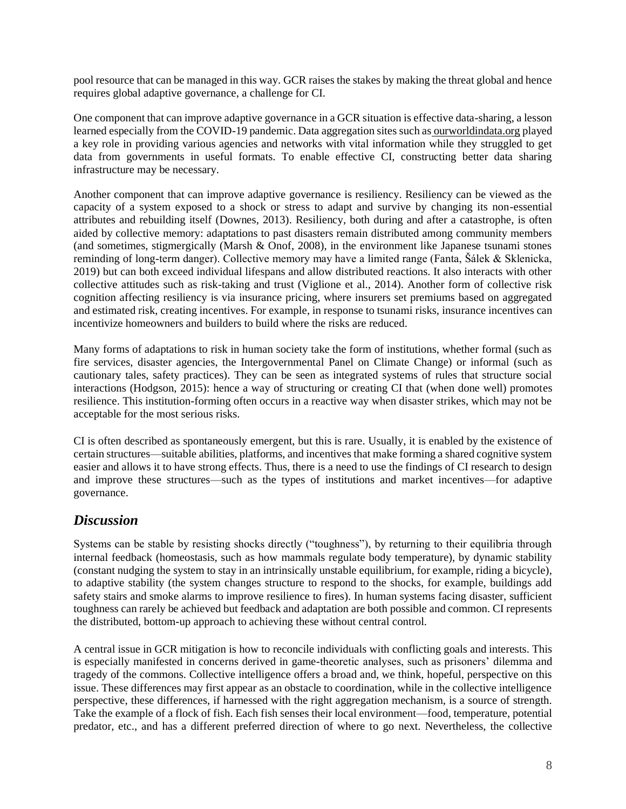pool resource that can be managed in this way. GCR raises the stakes by making the threat global and hence requires global adaptive governance, a challenge for CI.

One component that can improve adaptive governance in a GCR situation is effective data-sharing, a lesson learned especially from the COVID-19 pandemic. Data aggregation sites such as [ourworldindata.org](https://ourworldindata.org/) played a key role in providing various agencies and networks with vital information while they struggled to get data from governments in useful formats. To enable effective CI, constructing better data sharing infrastructure may be necessary.

Another component that can improve adaptive governance is resiliency. Resiliency can be viewed as the capacity of a system exposed to a shock or stress to adapt and survive by changing its non-essential attributes and rebuilding itself (Downes, 2013). Resiliency, both during and after a catastrophe, is often aided by collective memory: adaptations to past disasters remain distributed among community members (and sometimes, stigmergically (Marsh & Onof, 2008), in the environment like Japanese tsunami stones reminding of long-term danger). Collective memory may have a limited range (Fanta, Šálek & Sklenicka, 2019) but can both exceed individual lifespans and allow distributed reactions. It also interacts with other collective attitudes such as risk-taking and trust (Viglione et al., 2014). Another form of collective risk cognition affecting resiliency is via insurance pricing, where insurers set premiums based on aggregated and estimated risk, creating incentives. For example, in response to tsunami risks, insurance incentives can incentivize homeowners and builders to build where the risks are reduced.

Many forms of adaptations to risk in human society take the form of institutions, whether formal (such as fire services, disaster agencies, the Intergovernmental Panel on Climate Change) or informal (such as cautionary tales, safety practices). They can be seen as integrated systems of rules that structure social interactions (Hodgson, 2015): hence a way of structuring or creating CI that (when done well) promotes resilience. This institution-forming often occurs in a reactive way when disaster strikes, which may not be acceptable for the most serious risks.

CI is often described as spontaneously emergent, but this is rare. Usually, it is enabled by the existence of certain structures—suitable abilities, platforms, and incentives that make forming a shared cognitive system easier and allows it to have strong effects. Thus, there is a need to use the findings of CI research to design and improve these structures—such as the types of institutions and market incentives—for adaptive governance.

## *Discussion*

Systems can be stable by resisting shocks directly ("toughness"), by returning to their equilibria through internal feedback (homeostasis, such as how mammals regulate body temperature), by dynamic stability (constant nudging the system to stay in an intrinsically unstable equilibrium, for example, riding a bicycle), to adaptive stability (the system changes structure to respond to the shocks, for example, buildings add safety stairs and smoke alarms to improve resilience to fires). In human systems facing disaster, sufficient toughness can rarely be achieved but feedback and adaptation are both possible and common. CI represents the distributed, bottom-up approach to achieving these without central control.

A central issue in GCR mitigation is how to reconcile individuals with conflicting goals and interests. This is especially manifested in concerns derived in game-theoretic analyses, such as prisoners' dilemma and tragedy of the commons. Collective intelligence offers a broad and, we think, hopeful, perspective on this issue. These differences may first appear as an obstacle to coordination, while in the collective intelligence perspective, these differences, if harnessed with the right aggregation mechanism, is a source of strength. Take the example of a flock of fish. Each fish senses their local environment—food, temperature, potential predator, etc., and has a different preferred direction of where to go next. Nevertheless, the collective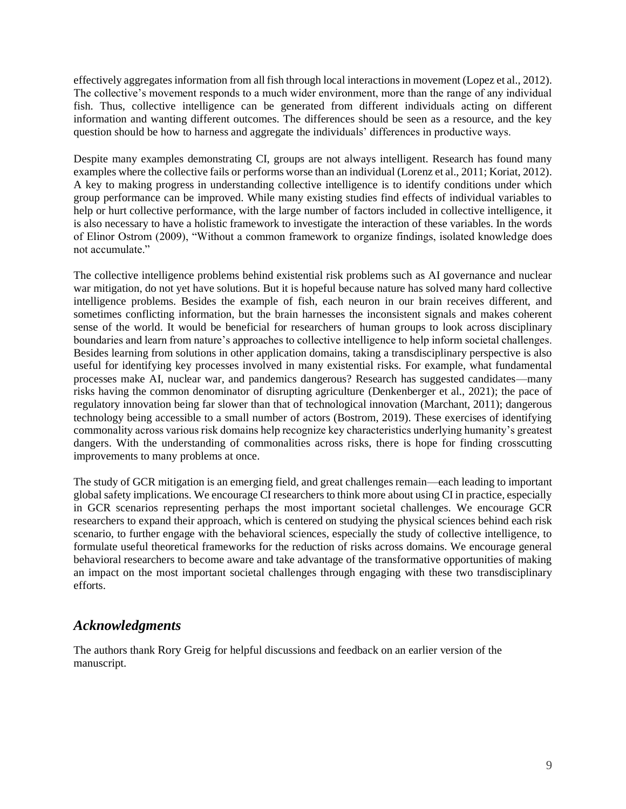effectively aggregates information from all fish through local interactions in movement (Lopez et al., 2012). The collective's movement responds to a much wider environment, more than the range of any individual fish. Thus, collective intelligence can be generated from different individuals acting on different information and wanting different outcomes. The differences should be seen as a resource, and the key question should be how to harness and aggregate the individuals' differences in productive ways.

Despite many examples demonstrating CI, groups are not always intelligent. Research has found many examples where the collective fails or performs worse than an individual (Lorenz et al., 2011; Koriat, 2012). A key to making progress in understanding collective intelligence is to identify conditions under which group performance can be improved. While many existing studies find effects of individual variables to help or hurt collective performance, with the large number of factors included in collective intelligence, it is also necessary to have a holistic framework to investigate the interaction of these variables. In the words of Elinor Ostrom (2009), "Without a common framework to organize findings, isolated knowledge does not accumulate."

The collective intelligence problems behind existential risk problems such as AI governance and nuclear war mitigation, do not yet have solutions. But it is hopeful because nature has solved many hard collective intelligence problems. Besides the example of fish, each neuron in our brain receives different, and sometimes conflicting information, but the brain harnesses the inconsistent signals and makes coherent sense of the world. It would be beneficial for researchers of human groups to look across disciplinary boundaries and learn from nature's approaches to collective intelligence to help inform societal challenges. Besides learning from solutions in other application domains, taking a transdisciplinary perspective is also useful for identifying key processes involved in many existential risks. For example, what fundamental processes make AI, nuclear war, and pandemics dangerous? Research has suggested candidates—many risks having the common denominator of disrupting agriculture (Denkenberger et al., 2021); the pace of regulatory innovation being far slower than that of technological innovation (Marchant, 2011); dangerous technology being accessible to a small number of actors (Bostrom, 2019). These exercises of identifying commonality across various risk domains help recognize key characteristics underlying humanity's greatest dangers. With the understanding of commonalities across risks, there is hope for finding crosscutting improvements to many problems at once.

The study of GCR mitigation is an emerging field, and great challenges remain—each leading to important global safety implications. We encourage CI researchers to think more about using CI in practice, especially in GCR scenarios representing perhaps the most important societal challenges. We encourage GCR researchers to expand their approach, which is centered on studying the physical sciences behind each risk scenario, to further engage with the behavioral sciences, especially the study of collective intelligence, to formulate useful theoretical frameworks for the reduction of risks across domains. We encourage general behavioral researchers to become aware and take advantage of the transformative opportunities of making an impact on the most important societal challenges through engaging with these two transdisciplinary efforts.

## *Acknowledgments*

The authors thank Rory Greig for helpful discussions and feedback on an earlier version of the manuscript.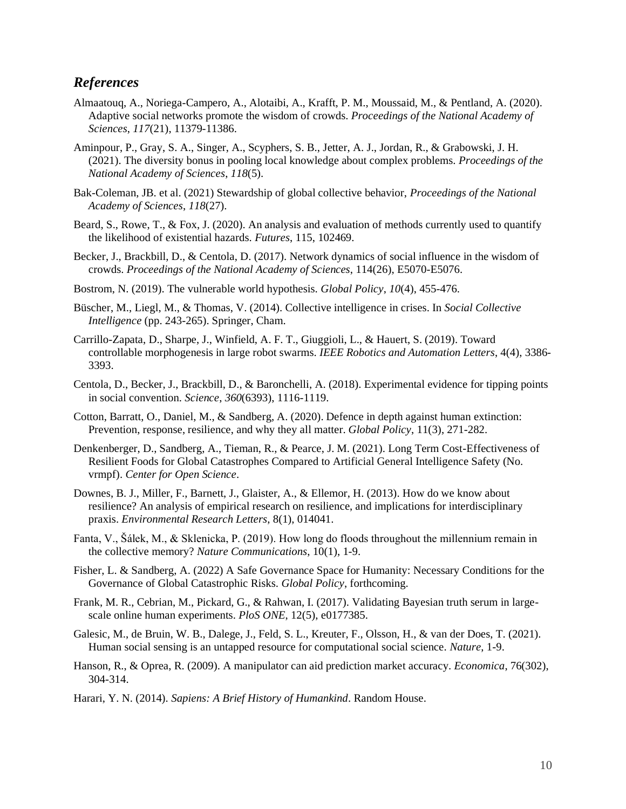## *References*

- Almaatouq, A., Noriega-Campero, A., Alotaibi, A., Krafft, P. M., Moussaid, M., & Pentland, A. (2020). Adaptive social networks promote the wisdom of crowds. *Proceedings of the National Academy of Sciences*, *117*(21), 11379-11386.
- Aminpour, P., Gray, S. A., Singer, A., Scyphers, S. B., Jetter, A. J., Jordan, R., & Grabowski, J. H. (2021). The diversity bonus in pooling local knowledge about complex problems. *Proceedings of the National Academy of Sciences*, *118*(5).
- Bak-Coleman, JB. et al. (2021) Stewardship of global collective behavior, *Proceedings of the National Academy of Sciences*, *118*(27).
- Beard, S., Rowe, T., & Fox, J. (2020). An analysis and evaluation of methods currently used to quantify the likelihood of existential hazards. *Futures*, 115, 102469.
- Becker, J., Brackbill, D., & Centola, D. (2017). Network dynamics of social influence in the wisdom of crowds. *Proceedings of the National Academy of Sciences*, 114(26), E5070-E5076.
- Bostrom, N. (2019). The vulnerable world hypothesis. *Global Policy*, *10*(4), 455-476.
- Büscher, M., Liegl, M., & Thomas, V. (2014). Collective intelligence in crises. In *Social Collective Intelligence* (pp. 243-265). Springer, Cham.
- Carrillo-Zapata, D., Sharpe, J., Winfield, A. F. T., Giuggioli, L., & Hauert, S. (2019). Toward controllable morphogenesis in large robot swarms. *IEEE Robotics and Automation Letters*, 4(4), 3386- 3393.
- Centola, D., Becker, J., Brackbill, D., & Baronchelli, A. (2018). Experimental evidence for tipping points in social convention. *Science*, *360*(6393), 1116-1119.
- Cotton, Barratt, O., Daniel, M., & Sandberg, A. (2020). Defence in depth against human extinction: Prevention, response, resilience, and why they all matter. *Global Policy*, 11(3), 271-282.
- Denkenberger, D., Sandberg, A., Tieman, R., & Pearce, J. M. (2021). Long Term Cost-Effectiveness of Resilient Foods for Global Catastrophes Compared to Artificial General Intelligence Safety (No. vrmpf). *Center for Open Science*.
- Downes, B. J., Miller, F., Barnett, J., Glaister, A., & Ellemor, H. (2013). How do we know about resilience? An analysis of empirical research on resilience, and implications for interdisciplinary praxis. *Environmental Research Letters*, 8(1), 014041.
- Fanta, V., Šálek, M., & Sklenicka, P. (2019). How long do floods throughout the millennium remain in the collective memory? *Nature Communications*, 10(1), 1-9.
- Fisher, L. & Sandberg, A. (2022) A Safe Governance Space for Humanity: Necessary Conditions for the Governance of Global Catastrophic Risks. *Global Policy*, forthcoming.
- Frank, M. R., Cebrian, M., Pickard, G., & Rahwan, I. (2017). Validating Bayesian truth serum in largescale online human experiments. *PloS ONE*, 12(5), e0177385.
- Galesic, M., de Bruin, W. B., Dalege, J., Feld, S. L., Kreuter, F., Olsson, H., & van der Does, T. (2021). Human social sensing is an untapped resource for computational social science. *Nature*, 1-9.
- Hanson, R., & Oprea, R. (2009). A manipulator can aid prediction market accuracy. *Economica*, 76(302), 304-314.
- Harari, Y. N. (2014). *Sapiens: A Brief History of Humankind*. Random House.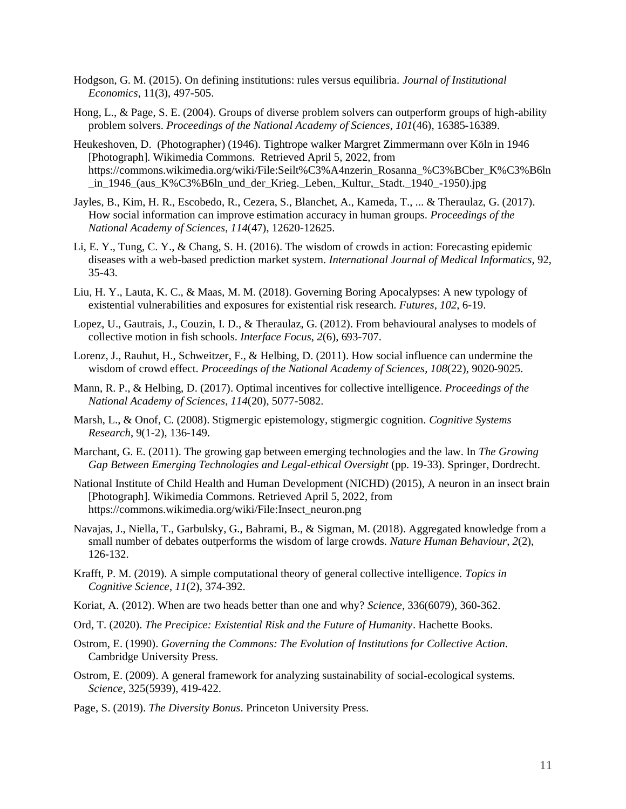- Hodgson, G. M. (2015). On defining institutions: rules versus equilibria. *Journal of Institutional Economics*, 11(3), 497-505.
- Hong, L., & Page, S. E. (2004). Groups of diverse problem solvers can outperform groups of high-ability problem solvers. *Proceedings of the National Academy of Sciences*, *101*(46), 16385-16389.
- Heukeshoven, D. (Photographer) (1946). Tightrope walker Margret Zimmermann over Köln in 1946 [Photograph]. Wikimedia Commons. Retrieved April 5, 2022, from https://commons.wikimedia.org/wiki/File:Seilt%C3%A4nzerin\_Rosanna\_%C3%BCber\_K%C3%B6ln \_in\_1946\_(aus\_K%C3%B6ln\_und\_der\_Krieg.\_Leben,\_Kultur,\_Stadt.\_1940\_-1950).jpg
- Jayles, B., Kim, H. R., Escobedo, R., Cezera, S., Blanchet, A., Kameda, T., ... & Theraulaz, G. (2017). How social information can improve estimation accuracy in human groups. *Proceedings of the National Academy of Sciences*, *114*(47), 12620-12625.
- Li, E. Y., Tung, C. Y., & Chang, S. H. (2016). The wisdom of crowds in action: Forecasting epidemic diseases with a web-based prediction market system. *International Journal of Medical Informatics*, 92, 35-43.
- Liu, H. Y., Lauta, K. C., & Maas, M. M. (2018). Governing Boring Apocalypses: A new typology of existential vulnerabilities and exposures for existential risk research. *Futures*, *102*, 6-19.
- Lopez, U., Gautrais, J., Couzin, I. D., & Theraulaz, G. (2012). From behavioural analyses to models of collective motion in fish schools. *Interface Focus*, *2*(6), 693-707.
- Lorenz, J., Rauhut, H., Schweitzer, F., & Helbing, D. (2011). How social influence can undermine the wisdom of crowd effect. *Proceedings of the National Academy of Sciences*, *108*(22), 9020-9025.
- Mann, R. P., & Helbing, D. (2017). Optimal incentives for collective intelligence. *Proceedings of the National Academy of Sciences*, *114*(20), 5077-5082.
- Marsh, L., & Onof, C. (2008). Stigmergic epistemology, stigmergic cognition. *Cognitive Systems Research*, 9(1-2), 136-149.
- Marchant, G. E. (2011). The growing gap between emerging technologies and the law. In *The Growing Gap Between Emerging Technologies and Legal-ethical Oversight* (pp. 19-33). Springer, Dordrecht.
- National Institute of Child Health and Human Development (NICHD) (2015), A neuron in an insect brain [Photograph]. Wikimedia Commons. Retrieved April 5, 2022, from https://commons.wikimedia.org/wiki/File:Insect\_neuron.png
- Navajas, J., Niella, T., Garbulsky, G., Bahrami, B., & Sigman, M. (2018). Aggregated knowledge from a small number of debates outperforms the wisdom of large crowds. *Nature Human Behaviour*, *2*(2), 126-132.
- Krafft, P. M. (2019). A simple computational theory of general collective intelligence. *Topics in Cognitive Science*, *11*(2), 374-392.
- Koriat, A. (2012). When are two heads better than one and why? *Science*, 336(6079), 360-362.
- Ord, T. (2020). *The Precipice: Existential Risk and the Future of Humanity*. Hachette Books.
- Ostrom, E. (1990). *Governing the Commons: The Evolution of Institutions for Collective Action*. Cambridge University Press.
- Ostrom, E. (2009). A general framework for analyzing sustainability of social-ecological systems. *Science*, 325(5939), 419-422.
- Page, S. (2019). *The Diversity Bonus*. Princeton University Press.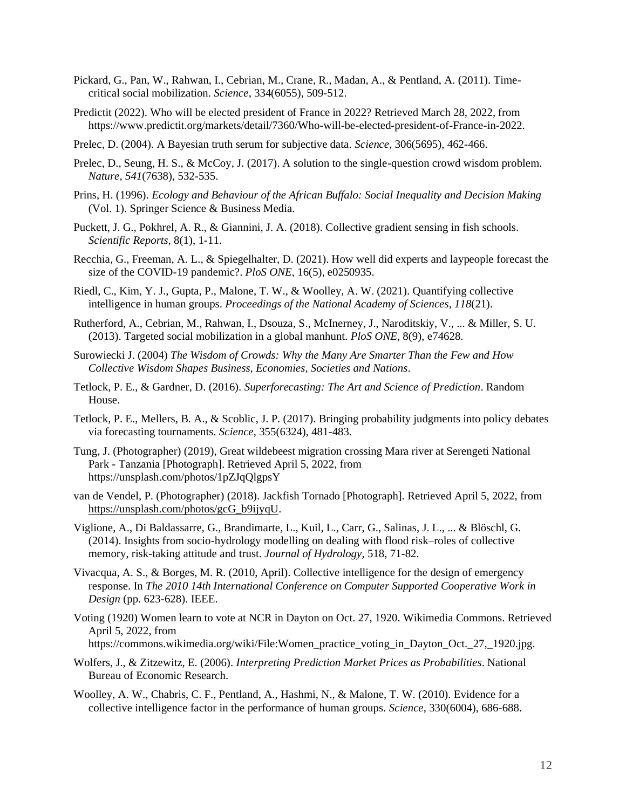- Pickard, G., Pan, W., Rahwan, I., Cebrian, M., Crane, R., Madan, A., & Pentland, A. (2011). Timecritical social mobilization. *Science*, 334(6055), 509-512.
- Predictit (2022). Who will be elected president of France in 2022? Retrieved March 28, 2022, from https://www.predictit.org/markets/detail/7360/Who-will-be-elected-president-of-France-in-2022.
- Prelec, D. (2004). A Bayesian truth serum for subjective data. *Science*, 306(5695), 462-466.
- Prelec, D., Seung, H. S., & McCoy, J. (2017). A solution to the single-question crowd wisdom problem. *Nature*, *541*(7638), 532-535.
- Prins, H. (1996). *Ecology and Behaviour of the African Buffalo: Social Inequality and Decision Making*  (Vol. 1). Springer Science & Business Media.
- Puckett, J. G., Pokhrel, A. R., & Giannini, J. A. (2018). Collective gradient sensing in fish schools. *Scientific Reports*, 8(1), 1-11.
- Recchia, G., Freeman, A. L., & Spiegelhalter, D. (2021). How well did experts and laypeople forecast the size of the COVID-19 pandemic?. *PloS ONE*, 16(5), e0250935.
- Riedl, C., Kim, Y. J., Gupta, P., Malone, T. W., & Woolley, A. W. (2021). Quantifying collective intelligence in human groups. *Proceedings of the National Academy of Sciences*, *118*(21).
- Rutherford, A., Cebrian, M., Rahwan, I., Dsouza, S., McInerney, J., Naroditskiy, V., ... & Miller, S. U. (2013). Targeted social mobilization in a global manhunt. *PloS ONE*, 8(9), e74628.
- Surowiecki J. (2004) *The Wisdom of Crowds: Why the Many Are Smarter Than the Few and How Collective Wisdom Shapes Business, Economies, Societies and Nations*.
- Tetlock, P. E., & Gardner, D. (2016). *Superforecasting: The Art and Science of Prediction*. Random House.
- Tetlock, P. E., Mellers, B. A., & Scoblic, J. P. (2017). Bringing probability judgments into policy debates via forecasting tournaments. *Science*, 355(6324), 481-483.
- Tung, J. (Photographer) (2019), Great wildebeest migration crossing Mara river at Serengeti National Park - Tanzania [Photograph]. Retrieved April 5, 2022, from https://unsplash.com/photos/1pZJqQlgpsY
- van de Vendel, P. (Photographer) (2018). Jackfish Tornado [Photograph]. Retrieved April 5, 2022, from [https://unsplash.com/photos/gcG\\_b9ijyqU.](https://unsplash.com/photos/gcG_b9ijyqU)
- Viglione, A., Di Baldassarre, G., Brandimarte, L., Kuil, L., Carr, G., Salinas, J. L., ... & Blöschl, G. (2014). Insights from socio-hydrology modelling on dealing with flood risk–roles of collective memory, risk-taking attitude and trust. *Journal of Hydrology*, 518, 71-82.
- Vivacqua, A. S., & Borges, M. R. (2010, April). Collective intelligence for the design of emergency response. In *The 2010 14th International Conference on Computer Supported Cooperative Work in Design* (pp. 623-628). IEEE.
- Voting (1920) Women learn to vote at NCR in Dayton on Oct. 27, 1920. Wikimedia Commons. Retrieved April 5, 2022, from https://commons.wikimedia.org/wiki/File:Women\_practice\_voting\_in\_Dayton\_Oct.\_27,\_1920.jpg.
- Wolfers, J., & Zitzewitz, E. (2006). *Interpreting Prediction Market Prices as Probabilities*. National Bureau of Economic Research.
- Woolley, A. W., Chabris, C. F., Pentland, A., Hashmi, N., & Malone, T. W. (2010). Evidence for a collective intelligence factor in the performance of human groups. *Science*, 330(6004), 686-688.